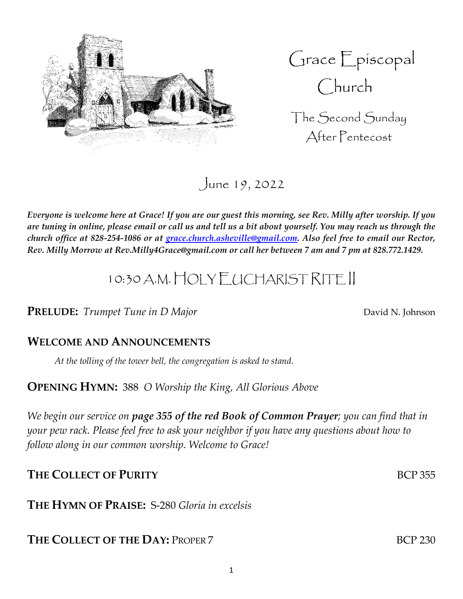

 Grace Episcopal Church

 The Second Sunday After Pentecost

June 19, 2022

*Everyone is welcome here at Grace! If you are our guest this morning, see Rev. Milly after worship. If you are tuning in online, please email or call us and tell us a bit about yourself. You may reach us through the church office at 828-254-1086 or at [grace.church.asheville@gmail.com.](mailto:grace.church.asheville@gmail.com) Also feel free to email our Rector, Rev. Milly Morrow at Rev.Milly4Grace@gmail.com or call her between 7 am and 7 pm at 828.772.1429.*

## 10:30 A.M. HOLY EUCHARIST RITE II

**PRELUDE:** *Trumpet Tune in D Major* David N. Johnson

#### **WELCOME AND ANNOUNCEMENTS**

*At the tolling of the tower bell, the congregation is asked to stand.*

**OPENING HYMN:** 388 *O Worship the King, All Glorious Above*

*We begin our service on page 355 of the red Book of Common Prayer; you can find that in your pew rack. Please feel free to ask your neighbor if you have any questions about how to follow along in our common worship. Welcome to Grace!*

**THE COLLECT OF PURITY** BCP 355

**THE HYMN OF PRAISE:** S-280 *Gloria in excelsis*

#### **THE COLLECT OF THE DAY:** PROPER 7 BCP 230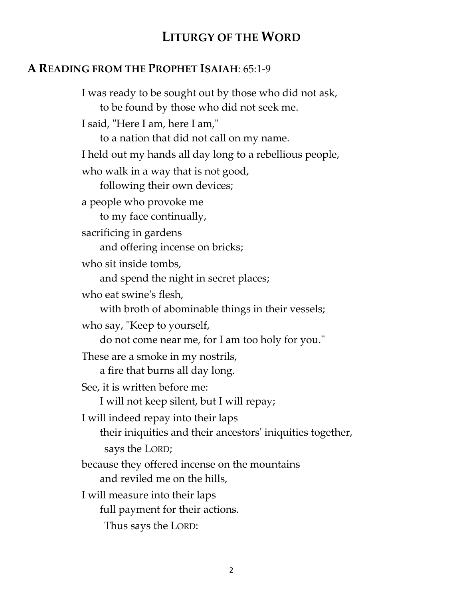#### **LITURGY OF THE WORD**

#### **A READING FROM THE PROPHET ISAIAH**: 65:1-9

I was ready to be sought out by those who did not ask, to be found by those who did not seek me. I said, "Here I am, here I am," to a nation that did not call on my name. I held out my hands all day long to a rebellious people, who walk in a way that is not good, following their own devices; a people who provoke me to my face continually, sacrificing in gardens and offering incense on bricks; who sit inside tombs, and spend the night in secret places; who eat swine's flesh, with broth of abominable things in their vessels; who say, "Keep to yourself, do not come near me, for I am too holy for you." These are a smoke in my nostrils, a fire that burns all day long. See, it is written before me: I will not keep silent, but I will repay; I will indeed repay into their laps their iniquities and their ancestors' iniquities together, says the LORD; because they offered incense on the mountains and reviled me on the hills, I will measure into their laps full payment for their actions. Thus says the LORD: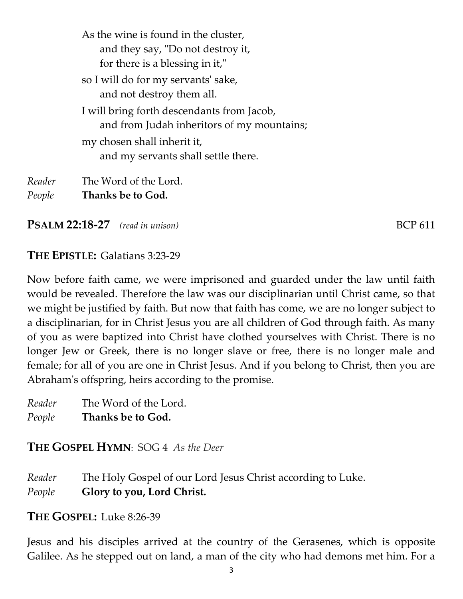|        | As the wine is found in the cluster,       |
|--------|--------------------------------------------|
|        | and they say, "Do not destroy it,          |
|        | for there is a blessing in it,"            |
|        | so I will do for my servants' sake,        |
|        | and not destroy them all.                  |
|        | I will bring forth descendants from Jacob, |
|        | and from Judah inheritors of my mountains; |
|        | my chosen shall inherit it,                |
|        | and my servants shall settle there.        |
| Reader | The Word of the Lord.                      |
| People | Thanks be to God.                          |

**PSALM 22:18-27** *(read in unison)* BCP 611

#### **THE EPISTLE:** Galatians 3:23-29

Now before faith came, we were imprisoned and guarded under the law until faith would be revealed. Therefore the law was our disciplinarian until Christ came, so that we might be justified by faith. But now that faith has come, we are no longer subject to a disciplinarian, for in Christ Jesus you are all children of God through faith. As many of you as were baptized into Christ have clothed yourselves with Christ. There is no longer Jew or Greek, there is no longer slave or free, there is no longer male and female; for all of you are one in Christ Jesus. And if you belong to Christ, then you are Abraham's offspring, heirs according to the promise.

*Reader* The Word of the Lord.

*People* **Thanks be to God.**

**THE GOSPEL HYMN**: SOG 4 *As the Deer*

*Reader* The Holy Gospel of our Lord Jesus Christ according to Luke. *People* **Glory to you, Lord Christ.**

**THE GOSPEL:** Luke 8:26-39

Jesus and his disciples arrived at the country of the Gerasenes, which is opposite Galilee. As he stepped out on land, a man of the city who had demons met him. For a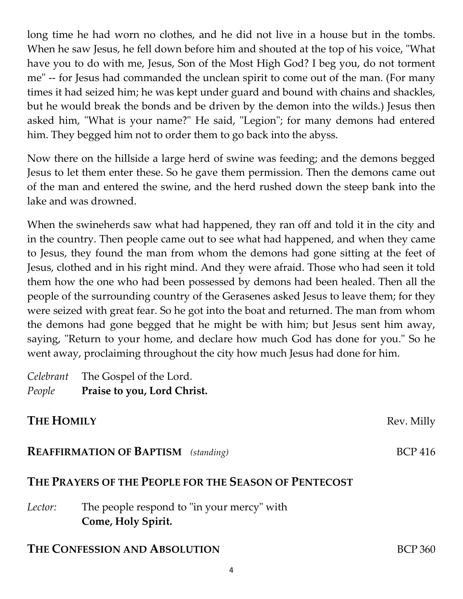long time he had worn no clothes, and he did not live in a house but in the tombs. When he saw Jesus, he fell down before him and shouted at the top of his voice, "What have you to do with me, Jesus, Son of the Most High God? I beg you, do not torment me" -- for Jesus had commanded the unclean spirit to come out of the man. (For many times it had seized him; he was kept under guard and bound with chains and shackles, but he would break the bonds and be driven by the demon into the wilds.) Jesus then asked him, "What is your name?" He said, "Legion"; for many demons had entered him. They begged him not to order them to go back into the abyss.

Now there on the hillside a large herd of swine was feeding; and the demons begged Jesus to let them enter these. So he gave them permission. Then the demons came out of the man and entered the swine, and the herd rushed down the steep bank into the lake and was drowned.

When the swineherds saw what had happened, they ran off and told it in the city and in the country. Then people came out to see what had happened, and when they came to Jesus, they found the man from whom the demons had gone sitting at the feet of Jesus, clothed and in his right mind. And they were afraid. Those who had seen it told them how the one who had been possessed by demons had been healed. Then all the people of the surrounding country of the Gerasenes asked Jesus to leave them; for they were seized with great fear. So he got into the boat and returned. The man from whom the demons had gone begged that he might be with him; but Jesus sent him away, saying, "Return to your home, and declare how much God has done for you." So he went away, proclaiming throughout the city how much Jesus had done for him.

|        | Celebrant The Gospel of the Lord. |
|--------|-----------------------------------|
| People | Praise to you, Lord Christ.       |

| THE HOMILY |                                                                  | Rev. Milly     |
|------------|------------------------------------------------------------------|----------------|
|            | <b>REAFFIRMATION OF BAPTISM</b> (standing)                       | <b>BCP</b> 416 |
|            | THE PRAYERS OF THE PEOPLE FOR THE SEASON OF PENTECOST            |                |
| Lector:    | The people respond to "in your mercy" with<br>Come, Holy Spirit. |                |
|            | THE CONFESSION AND ABSOLUTION                                    | <b>BCP 360</b> |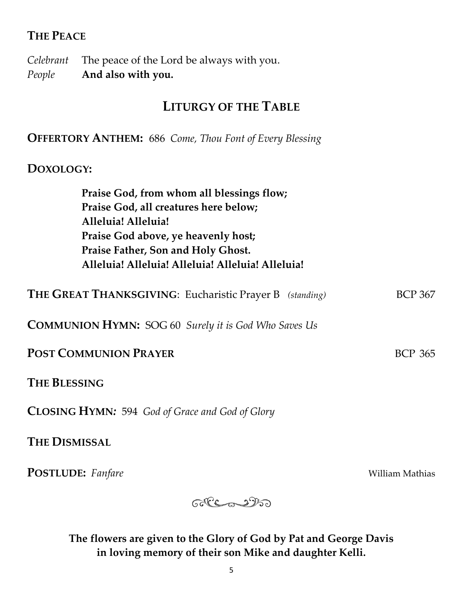#### **THE PEACE**

*Celebrant* The peace of the Lord be always with you. *People* **And also with you.**

#### **LITURGY OF THE TABLE**

**OFFERTORY ANTHEM:** 686 *Come, Thou Font of Every Blessing*

#### **DOXOLOGY:**

**Praise God, from whom all blessings flow; Praise God, all creatures here below; Alleluia! Alleluia! Praise God above, ye heavenly host; Praise Father, Son and Holy Ghost. Alleluia! Alleluia! Alleluia! Alleluia! Alleluia!** 

| <b>THE GREAT THANKSGIVING: Eucharistic Prayer B</b> (standing) |  |  | <b>BCP 367</b> |
|----------------------------------------------------------------|--|--|----------------|
|----------------------------------------------------------------|--|--|----------------|

**COMMUNION HYMN:** SOG 60 *Surely it is God Who Saves Us*

| <b>POST COMMUNION PRAYER</b> | <b>BCP 365</b> |
|------------------------------|----------------|
|------------------------------|----------------|

**THE BLESSING** 

**CLOSING HYMN***:* 594 *God of Grace and God of Glory*

**THE DISMISSAL**

**POSTLUDE:** *Fanfare* William Mathias

GOPCANA

**The flowers are given to the Glory of God by Pat and George Davis in loving memory of their son Mike and daughter Kelli.**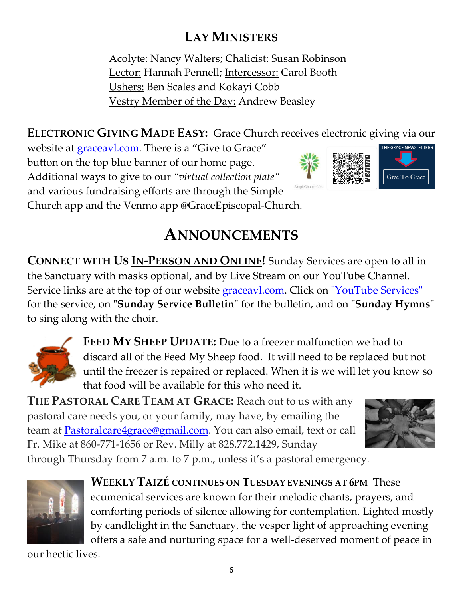## **LAY MINISTERS**

Acolyte: Nancy Walters; Chalicist: Susan Robinson Lector: Hannah Pennell; Intercessor: Carol Booth Ushers: Ben Scales and Kokayi Cobb Vestry Member of the Day: Andrew Beasley

**ELECTRONIC GIVING MADE EASY:** Grace Church receives electronic giving via our

website at **[graceavl.com](https://www.graceavl.com/)**. There is a "Give to Grace" button on the top blue banner of our home page. Additional ways to give to our *"virtual collection plate"* and various fundraising efforts are through the Simple Church app and the Venmo app @GraceEpiscopal-Church.



# **ANNOUNCEMENTS**

**CONNECT WITH US IN-PERSON AND ONLINE!** Sunday Services are open to all in the Sanctuary with masks optional, and by Live Stream on our YouTube Channel. Service links are at the top of our website **graceavl.com**. Click on <u>["YouTube Services"](https://www.youtube.com/channel/UC3FGhXfHMuSHPHqIRJJVyZg/videos)</u> for the service, on **"Sunday Service Bulletin"** for the bulletin, and on **"Sunday Hymns"** to sing along with the choir.



**FEED MY SHEEP UPDATE:** Due to a freezer malfunction we had to discard all of the Feed My Sheep food. It will need to be replaced but not until the freezer is repaired or replaced. When it is we will let you know so that food will be available for this who need it.

**THE PASTORAL CARE TEAM AT GRACE:** Reach out to us with any pastoral care needs you, or your family, may have, by emailing the team at **Pastoralcare4grace@gmail.com**. You can also email, text or call Fr. Mike at 860-771-1656 or Rev. Milly at 828.772.1429, Sunday



through Thursday from 7 a.m. to 7 p.m., unless it's a pastoral emergency.



**WEEKLY TAIZÉ CONTINUES ON TUESDAY EVENINGS AT 6PM** These ecumenical services are known for their melodic chants, prayers, and comforting periods of silence allowing for contemplation. Lighted mostly by candlelight in the Sanctuary, the vesper light of approaching evening offers a safe and nurturing space for a well-deserved moment of peace in

our hectic lives.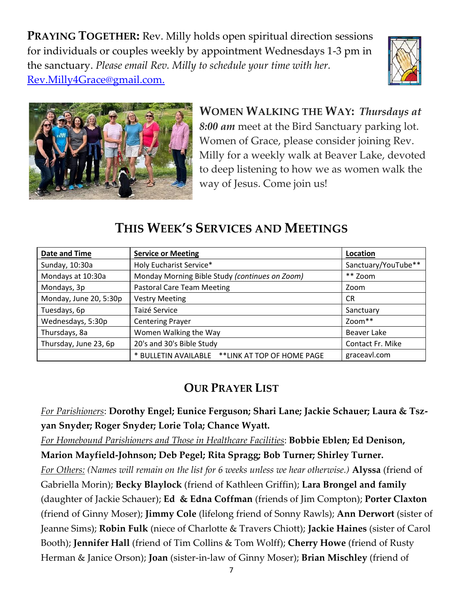**PRAYING TOGETHER:** Rev. Milly holds open spiritual direction sessions for individuals or couples weekly by appointment Wednesdays 1-3 pm in the sanctuary. *Please email Rev. Milly to schedule your time with her.*  [Rev.Milly4Grace@gmail.com.](mailto:Rev.Milly4Grace@gmail.com)





**WOMEN WALKING THE WAY:** *Thursdays at 8:00 am* meet at the Bird Sanctuary parking lot. Women of Grace, please consider joining Rev. Milly for a weekly walk at Beaver Lake, devoted to deep listening to how we as women walk the way of Jesus. Come join us!

### **THIS WEEK'S SERVICES AND MEETINGS**

| <b>Date and Time</b>   | <b>Service or Meeting</b>                        | Location            |
|------------------------|--------------------------------------------------|---------------------|
| Sunday, 10:30a         | Holy Eucharist Service*                          | Sanctuary/YouTube** |
| Mondays at 10:30a      | Monday Morning Bible Study (continues on Zoom)   | ** Zoom             |
| Mondays, 3p            | <b>Pastoral Care Team Meeting</b>                | Zoom                |
| Monday, June 20, 5:30p | <b>Vestry Meeting</b>                            | <b>CR</b>           |
| Tuesdays, 6p           | Taizé Service                                    | Sanctuary           |
| Wednesdays, 5:30p      | <b>Centering Prayer</b>                          | Zoom**              |
| Thursdays, 8a          | Women Walking the Way                            | Beaver Lake         |
| Thursday, June 23, 6p  | 20's and 30's Bible Study                        | Contact Fr. Mike    |
|                        | * BULLETIN AVAILABLE ** LINK AT TOP OF HOME PAGE | graceavl.com        |

#### **OUR PRAYER LIST**

*For Parishioners*: **Dorothy Engel; Eunice Ferguson; Shari Lane; Jackie Schauer; Laura & Tszyan Snyder; Roger Snyder; Lorie Tola; Chance Wyatt.** 

*For Homebound Parishioners and Those in Healthcare Facilities*: **Bobbie Eblen; Ed Denison,** 

**Marion Mayfield-Johnson; Deb Pegel; Rita Spragg; Bob Turner; Shirley Turner.** 

*For Others: (Names will remain on the list for 6 weeks unless we hear otherwise.)* **Alyssa** (friend of Gabriella Morin); **Becky Blaylock** (friend of Kathleen Griffin); **Lara Brongel and family** (daughter of Jackie Schauer); **Ed & Edna Coffman** (friends of Jim Compton); **Porter Claxton**  (friend of Ginny Moser); **Jimmy Cole** (lifelong friend of Sonny Rawls); **Ann Derwort** (sister of Jeanne Sims); **Robin Fulk** (niece of Charlotte & Travers Chiott); **Jackie Haines** (sister of Carol Booth); **Jennifer Hall** (friend of Tim Collins & Tom Wolff); **Cherry Howe** (friend of Rusty Herman & Janice Orson); **Joan** (sister-in-law of Ginny Moser); **Brian Mischley** (friend of